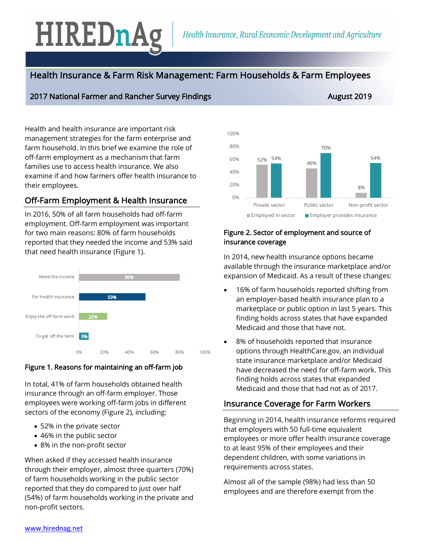# HIREDnAg

# Health Insurance & Farm Risk Management: Farm Households & Farm Employees

#### 2017 National Farmer and Rancher Survey Findings August 2019 August 2019

#### $\frac{52\%}{100}$   $\frac{54\%}{100}$  46% 8% 54% 70% 54% 0% 20% 40% 60% 80% 100% Private sector Public sector Non-profit sector  $\blacksquare$  Employed in sector  $\blacksquare$  Employer provides insurance

# Figure 2. Sector of employment and source of insurance coverage

In 2014, new health insurance options became available through the insurance marketplace and/or expansion of Medicaid. As a result of these changes:

- 16% of farm households reported shifting from an employer-based health insurance plan to a marketplace or public option in last 5 years. This finding holds across states that have expanded Medicaid and those that have not.
- 8% of households reported that insurance options through HealthCare.gov, an individual state insurance marketplace and/or Medicaid have decreased the need for off-farm work. This finding holds across states that expanded Medicaid and those that had not as of 2017.

## Insurance Coverage for Farm Workers

Beginning in 2014, health insurance reforms required that employers with 50 full-time equivalent employees or more offer health insurance coverage to at least 95% of their employees and their dependent children, with some variations in requirements across states.

Almost all of the sample (98%) had less than 50 employees and are therefore exempt from the

Health and health insurance are important risk management strategies for the farm enterprise and farm household. In this brief we examine the role of off-farm employment as a mechanism that farm families use to access health insurance. We also examine if and how farmers offer health insurance to their employees.

# Off-Farm Employment & Health Insurance

In 2016, 50% of all farm households had off-farm employment. Off-farm employment was important for two main reasons: 80% of farm households reported that they needed the income and 53% said that need health insurance (Figure 1).

| Need the income         |     |     | 80% |     |     |      |
|-------------------------|-----|-----|-----|-----|-----|------|
|                         |     |     |     |     |     |      |
| For health insurance    |     | 53% |     |     |     |      |
|                         |     |     |     |     |     |      |
| Enjoy the off-farm work | 22% |     |     |     |     |      |
| To get off the farm     | 5%  |     |     |     |     |      |
|                         | 0%  | 20% | 40% | 60% | 80% | 100% |

### Figure 1. Reasons for maintaining an off-farm job

In total, 41% of farm households obtained health insurance through an off-farm employer. Those employees were working off-farm jobs in different sectors of the economy (Figure 2), including:

- 52% in the private sector
- 46% in the public sector
- 8% in the non-profit sector

When asked if they accessed health insurance through their employer, almost three quarters (70%) of farm households working in the public sector reported that they do compared to just over half (54%) of farm households working in the private and non-profit sectors.